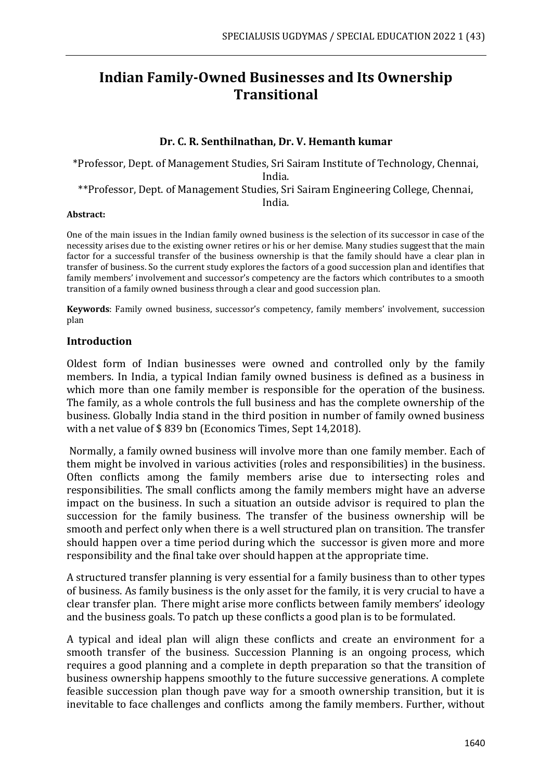# **Indian Family-Owned Businesses and Its Ownership Transitional**

## **Dr. C. R. Senthilnathan, Dr. V. Hemanth kumar**

\*Professor, Dept. of Management Studies, Sri Sairam Institute of Technology, Chennai, India. \*\*Professor, Dept. of Management Studies, Sri Sairam Engineering College, Chennai, India.

#### **Abstract:**

One of the main issues in the Indian family owned business is the selection of its successor in case of the necessity arises due to the existing owner retires or his or her demise. Many studies suggest that the main factor for a successful transfer of the business ownership is that the family should have a clear plan in transfer of business. So the current study explores the factors of a good succession plan and identifies that family members' involvement and successor's competency are the factors which contributes to a smooth transition of a family owned business through a clear and good succession plan.

**Keywords**: Family owned business, successor's competency, family members' involvement, succession plan

#### **Introduction**

Oldest form of Indian businesses were owned and controlled only by the family members. In India, a typical Indian family owned business is defined as a business in which more than one family member is responsible for the operation of the business. The family, as a whole controls the full business and has the complete ownership of the business. Globally India stand in the third position in number of family owned business with a net value of \$ 839 bn (Economics Times, Sept 14,2018).

Normally, a family owned business will involve more than one family member. Each of them might be involved in various activities (roles and responsibilities) in the business. Often conflicts among the family members arise due to intersecting roles and responsibilities. The small conflicts among the family members might have an adverse impact on the business. In such a situation an outside advisor is required to plan the succession for the family business. The transfer of the business ownership will be smooth and perfect only when there is a well structured plan on transition. The transfer should happen over a time period during which the successor is given more and more responsibility and the final take over should happen at the appropriate time.

A structured transfer planning is very essential for a family business than to other types of business. As family business is the only asset for the family, it is very crucial to have a clear transfer plan. There might arise more conflicts between family members' ideology and the business goals. To patch up these conflicts a good plan is to be formulated.

A typical and ideal plan will align these conflicts and create an environment for a smooth transfer of the business. Succession Planning is an ongoing process, which requires a good planning and a complete in depth preparation so that the transition of business ownership happens smoothly to the future successive generations. A complete feasible succession plan though pave way for a smooth ownership transition, but it is inevitable to face challenges and conflicts among the family members. Further, without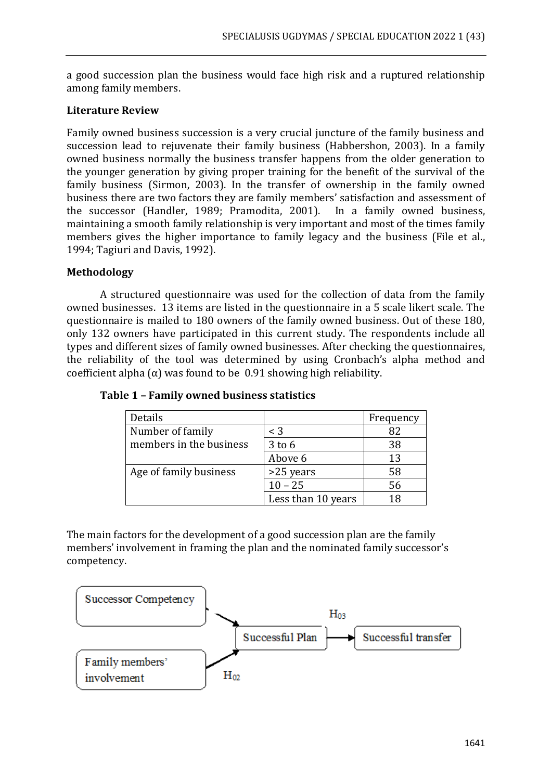a good succession plan the business would face high risk and a ruptured relationship among family members.

### **Literature Review**

Family owned business succession is a very crucial juncture of the family business and succession lead to rejuvenate their family business (Habbershon, 2003). In a family owned business normally the business transfer happens from the older generation to the younger generation by giving proper training for the benefit of the survival of the family business (Sirmon, 2003). In the transfer of ownership in the family owned business there are two factors they are family members' satisfaction and assessment of the successor (Handler, 1989; Pramodita, 2001). In a family owned business, maintaining a smooth family relationship is very important and most of the times family members gives the higher importance to family legacy and the business (File et al., 1994; Tagiuri and Davis, 1992).

# **Methodology**

A structured questionnaire was used for the collection of data from the family owned businesses. 13 items are listed in the questionnaire in a 5 scale likert scale. The questionnaire is mailed to 180 owners of the family owned business. Out of these 180, only 132 owners have participated in this current study. The respondents include all types and different sizes of family owned businesses. After checking the questionnaires, the reliability of the tool was determined by using Cronbach's alpha method and coefficient alpha  $(\alpha)$  was found to be 0.91 showing high reliability.

| Details                 |                    | Frequency |
|-------------------------|--------------------|-----------|
| Number of family        | $\leq 3$           | 82        |
| members in the business | $3$ to $6$         | 38        |
|                         | Above 6            | 13        |
| Age of family business  | >25 years          | 58        |
|                         | $10 - 25$          | 56        |
|                         | Less than 10 years |           |

**Table 1 – Family owned business statistics** 

The main factors for the development of a good succession plan are the family members' involvement in framing the plan and the nominated family successor's competency.

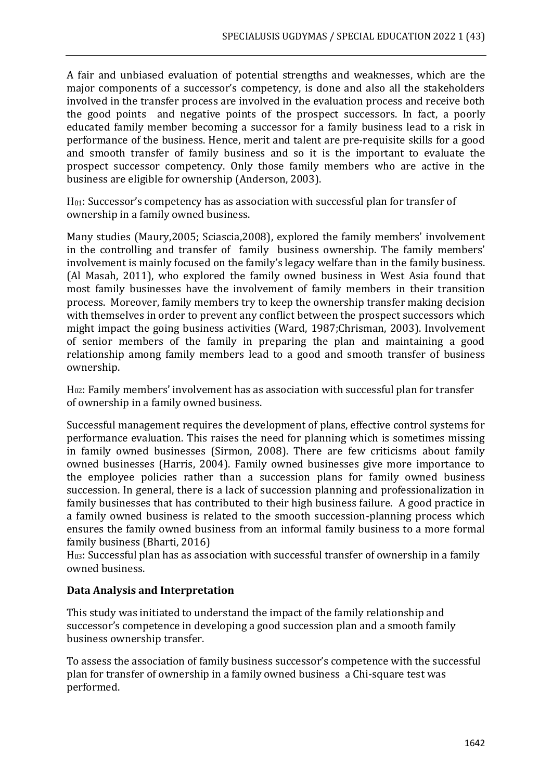A fair and unbiased evaluation of potential strengths and weaknesses, which are the major components of a successor's competency, is done and also all the stakeholders involved in the transfer process are involved in the evaluation process and receive both the good points and negative points of the prospect successors. In fact, a poorly educated family member becoming a successor for a family business lead to a risk in performance of the business. Hence, merit and talent are pre-requisite skills for a good and smooth transfer of family business and so it is the important to evaluate the prospect successor competency. Only those family members who are active in the business are eligible for ownership (Anderson, 2003).

H01: Successor's competency has as association with successful plan for transfer of ownership in a family owned business.

Many studies (Maury,2005; Sciascia,2008), explored the family members' involvement in the controlling and transfer of family business ownership. The family members' involvement is mainly focused on the family's legacy welfare than in the family business. (Al Masah, 2011), who explored the family owned business in West Asia found that most family businesses have the involvement of family members in their transition process. Moreover, family members try to keep the ownership transfer making decision with themselves in order to prevent any conflict between the prospect successors which might impact the going business activities (Ward, 1987;Chrisman, 2003). Involvement of senior members of the family in preparing the plan and maintaining a good relationship among family members lead to a good and smooth transfer of business ownership.

H02: Family members' involvement has as association with successful plan for transfer of ownership in a family owned business.

Successful management requires the development of plans, effective control systems for performance evaluation. This raises the need for planning which is sometimes missing in family owned businesses (Sirmon, 2008). There are few criticisms about family owned businesses (Harris, 2004). Family owned businesses give more importance to the employee policies rather than a succession plans for family owned business succession. In general, there is a lack of succession planning and professionalization in family businesses that has contributed to their high business failure. A good practice in a family owned business is related to the smooth succession-planning process which ensures the family owned business from an informal family business to a more formal family business (Bharti, 2016)

H03: Successful plan has as association with successful transfer of ownership in a family owned business.

# **Data Analysis and Interpretation**

This study was initiated to understand the impact of the family relationship and successor's competence in developing a good succession plan and a smooth family business ownership transfer.

To assess the association of family business successor's competence with the successful plan for transfer of ownership in a family owned business a Chi-square test was performed.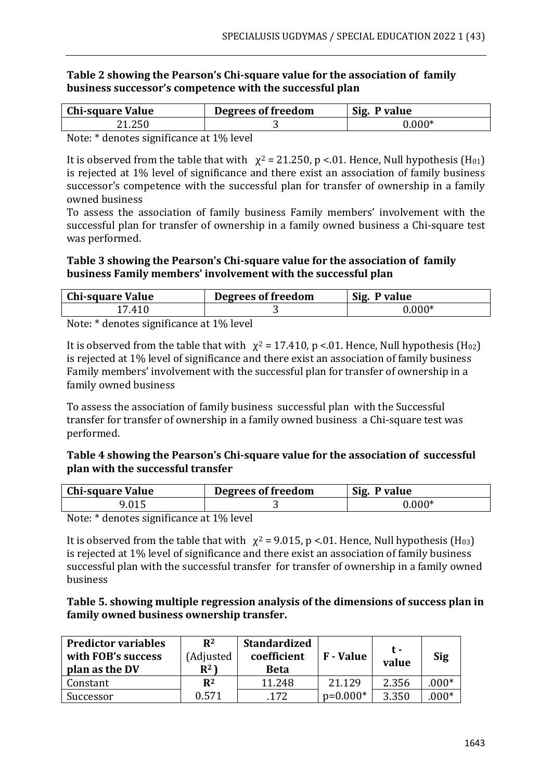#### **Table 2 showing the Pearson's Chi-square value for the association of family business successor's competence with the successful plan**

| <b>Chi-square Value</b> | Degrees of freedom | Sig. P value |
|-------------------------|--------------------|--------------|
| 21.250                  |                    | $0.000*$     |

Note: \* denotes significance at 1% level

It is observed from the table that with  $\chi^2 = 21.250$ , p <.01. Hence, Null hypothesis (H<sub>01</sub>) is rejected at 1% level of significance and there exist an association of family business successor's competence with the successful plan for transfer of ownership in a family owned business

To assess the association of family business Family members' involvement with the successful plan for transfer of ownership in a family owned business a Chi-square test was performed.

#### **Table 3 showing the Pearson's Chi-square value for the association of family business Family members' involvement with the successful plan**

| <b>Chi-square Value</b> | Degrees of freedom | Sig.<br>P value |
|-------------------------|--------------------|-----------------|
| 17.410                  |                    | $0.000*$        |
| $\sim$ $\sim$           |                    |                 |

Note: \* denotes significance at 1% level

It is observed from the table that with  $\chi^2 = 17.410$ , p <.01. Hence, Null hypothesis (H<sub>02</sub>) is rejected at 1% level of significance and there exist an association of family business Family members' involvement with the successful plan for transfer of ownership in a family owned business

To assess the association of family business successful plan with the Successful transfer for transfer of ownership in a family owned business a Chi-square test was performed.

### **Table 4 showing the Pearson's Chi-square value for the association of successful plan with the successful transfer**

| <b>Chi-square Value</b> | Degrees of freedom | Sig.<br>. P value |
|-------------------------|--------------------|-------------------|
| 9.015                   |                    | $0.000*$          |

Note: \* denotes significance at 1% level

It is observed from the table that with  $\chi^2$  = 9.015, p <.01. Hence, Null hypothesis (H<sub>03</sub>) is rejected at 1% level of significance and there exist an association of family business successful plan with the successful transfer for transfer of ownership in a family owned business

### **Table 5. showing multiple regression analysis of the dimensions of success plan in family owned business ownership transfer.**

| <b>Predictor variables</b><br>with FOB's success<br>plan as the DV | $\mathbf{R}^2$<br>(Adjusted<br>$R^2$ | <b>Standardized</b><br>coefficient<br><b>Beta</b> | <b>F</b> - Value | t -<br>value | <b>Sig</b> |
|--------------------------------------------------------------------|--------------------------------------|---------------------------------------------------|------------------|--------------|------------|
| Constant                                                           | $\mathbf{R}^2$                       | 11.248                                            | 21.129           | 2.356        | $.000*$    |
| Successor                                                          | 0.571                                | .172                                              | $p=0.000*$       | 3.350        | $.000*$    |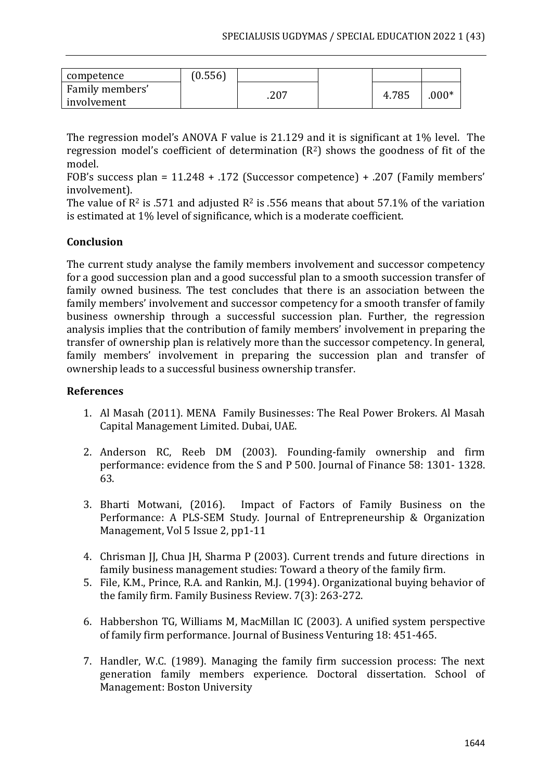| competence      | (0.556) |      |       |         |
|-----------------|---------|------|-------|---------|
| Family members' |         | .207 | 4.785 | $.000*$ |
| involvement     |         |      |       |         |

The regression model's ANOVA F value is 21.129 and it is significant at 1% level. The regression model's coefficient of determination (R2) shows the goodness of fit of the model.

FOB's success plan = 11.248 + .172 (Successor competence) + .207 (Family members' involvement).

The value of  $\mathbb{R}^2$  is .571 and adjusted  $\mathbb{R}^2$  is .556 means that about 57.1% of the variation is estimated at 1% level of significance, which is a moderate coefficient.

## **Conclusion**

The current study analyse the family members involvement and successor competency for a good succession plan and a good successful plan to a smooth succession transfer of family owned business. The test concludes that there is an association between the family members' involvement and successor competency for a smooth transfer of family business ownership through a successful succession plan. Further, the regression analysis implies that the contribution of family members' involvement in preparing the transfer of ownership plan is relatively more than the successor competency. In general, family members' involvement in preparing the succession plan and transfer of ownership leads to a successful business ownership transfer.

### **References**

- 1. Al Masah (2011). MENA Family Businesses: The Real Power Brokers. Al Masah Capital Management Limited. Dubai, UAE.
- 2. Anderson RC, Reeb DM (2003). Founding-family ownership and firm performance: evidence from the S and P 500. Journal of Finance 58: 1301- 1328. 63.
- 3. Bharti Motwani, (2016). Impact of Factors of Family Business on the Performance: A PLS-SEM Study. Journal of Entrepreneurship & Organization Management, Vol 5 Issue 2, pp1-11
- 4. Chrisman JJ, Chua JH, Sharma P (2003). Current trends and future directions in family business management studies: Toward a theory of the family firm.
- 5. File, K.M., Prince, R.A. and Rankin, M.J. (1994). Organizational buying behavior of the family firm. Family Business Review. 7(3): 263-272.
- 6. Habbershon TG, Williams M, MacMillan IC (2003). A unified system perspective of family firm performance. Journal of Business Venturing 18: 451-465.
- 7. Handler, W.C. (1989). Managing the family firm succession process: The next generation family members experience. Doctoral dissertation. School of Management: Boston University